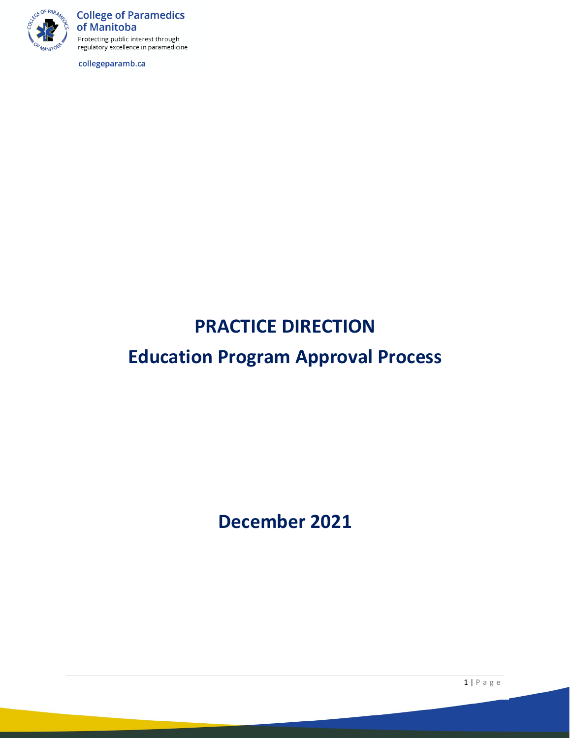

**College of Paramedics** of Manitoba Protecting public interest through regulatory excellence in paramedicine

collegeparamb.ca

# **PRACTICE DIRECTION**

# **Education Program Approval Process**

**December 2021**

1 | Page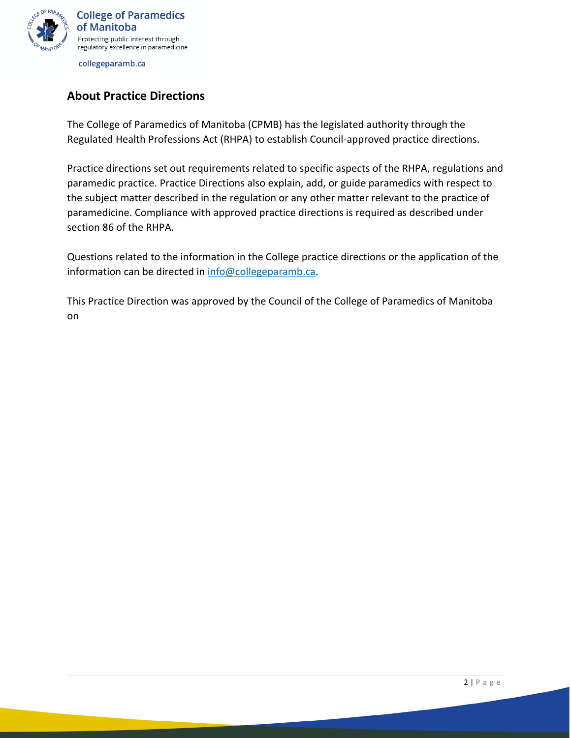

# **About Practice Directions**

The College of Paramedics of Manitoba (CPMB) has the legislated authority through the Regulated Health Professions Act (RHPA) to establish Council-approved practice directions.

Practice directions set out requirements related to specific aspects of the RHPA, regulations and paramedic practice. Practice Directions also explain, add, or guide paramedics with respect to the subject matter described in the regulation or any other matter relevant to the practice of paramedicine. Compliance with approved practice directions is required as described under section 86 of the RHPA.

Questions related to the information in the College practice directions or the application of the information can be directed in [info@collegeparamb.ca.](mailto:info@collegeparamb.ca)

This Practice Direction was approved by the Council of the College of Paramedics of Manitoba on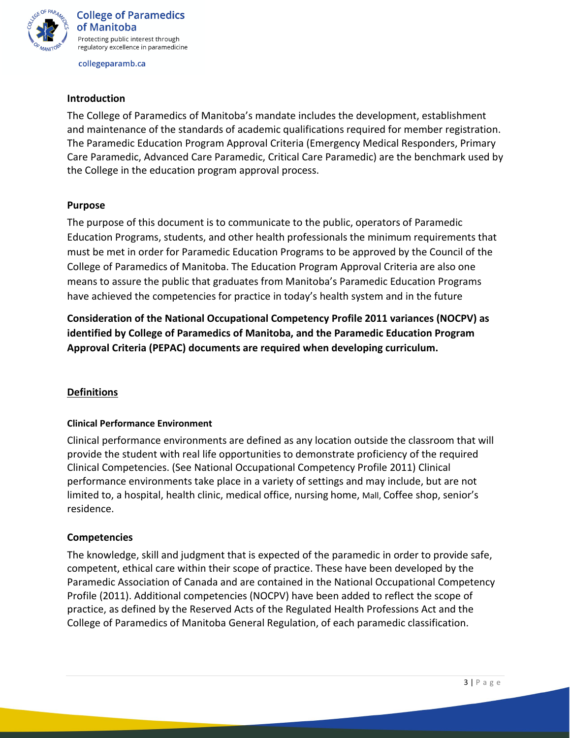

#### **Introduction**

The College of Paramedics of Manitoba's mandate includes the development, establishment and maintenance of the standards of academic qualifications required for member registration. The Paramedic Education Program Approval Criteria (Emergency Medical Responders, Primary Care Paramedic, Advanced Care Paramedic, Critical Care Paramedic) are the benchmark used by the College in the education program approval process.

#### **Purpose**

The purpose of this document is to communicate to the public, operators of Paramedic Education Programs, students, and other health professionals the minimum requirements that must be met in order for Paramedic Education Programs to be approved by the Council of the College of Paramedics of Manitoba. The Education Program Approval Criteria are also one means to assure the public that graduates from Manitoba's Paramedic Education Programs have achieved the competencies for practice in today's health system and in the future

**Consideration of the National Occupational Competency Profile 2011 variances (NOCPV) as identified by College of Paramedics of Manitoba, and the Paramedic Education Program Approval Criteria (PEPAC) documents are required when developing curriculum.** 

## **Definitions**

#### **Clinical Performance Environment**

Clinical performance environments are defined as any location outside the classroom that will provide the student with real life opportunities to demonstrate proficiency of the required Clinical Competencies. (See National Occupational Competency Profile 2011) Clinical performance environments take place in a variety of settings and may include, but are not limited to, a hospital, health clinic, medical office, nursing home, Mall, Coffee shop, senior's residence.

#### **Competencies**

The knowledge, skill and judgment that is expected of the paramedic in order to provide safe, competent, ethical care within their scope of practice. These have been developed by the Paramedic Association of Canada and are contained in the National Occupational Competency Profile (2011). Additional competencies (NOCPV) have been added to reflect the scope of practice, as defined by the Reserved Acts of the Regulated Health Professions Act and the College of Paramedics of Manitoba General Regulation, of each paramedic classification.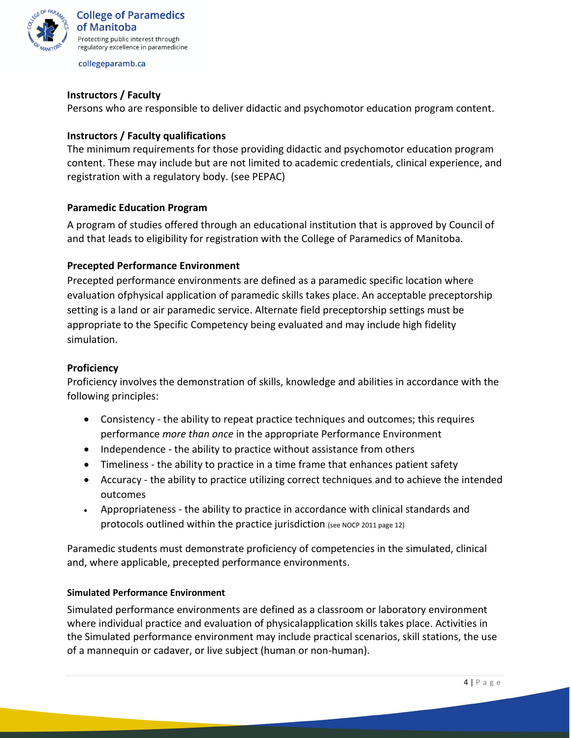

### **Instructors / Faculty**

Persons who are responsible to deliver didactic and psychomotor education program content.

#### **Instructors / Faculty qualifications**

The minimum requirements for those providing didactic and psychomotor education program content. These may include but are not limited to academic credentials, clinical experience, and registration with a regulatory body. (see PEPAC)

#### **Paramedic Education Program**

A program of studies offered through an educational institution that is approved by Council of and that leads to eligibility for registration with the College of Paramedics of Manitoba.

#### **Precepted Performance Environment**

Precepted performance environments are defined as a paramedic specific location where evaluation of physical application of paramedic skills takes place. An acceptable preceptorship setting is a land or air paramedic service. Alternate field preceptorship settings must be appropriate to the Specific Competency being evaluated and may include high fidelity simulation.

#### **Proficiency**

Proficiency involves the demonstration of skills, knowledge and abilities in accordance with the following principles:

- Consistency the ability to repeat practice techniques and outcomes; this requires performance *more than once* in the appropriate Performance Environment
- Independence the ability to practice without assistance from others
- Timeliness the ability to practice in a time frame that enhances patient safety
- Accuracy the ability to practice utilizing correct techniques and to achieve the intended outcomes
- Appropriateness the ability to practice in accordance with clinical standards and protocols outlined within the practice jurisdiction (see NOCP 2011 page 12)

Paramedic students must demonstrate proficiency of competencies in the simulated, clinical and, where applicable, precepted performance environments.

#### **Simulated Performance Environment**

Simulated performance environments are defined as a classroom or laboratory environment where individual practice and evaluation of physical application skills takes place. Activities in the Simulated performance environment may include practical scenarios, skill stations, the use of a mannequin or cadaver, or live subject (human or non-human).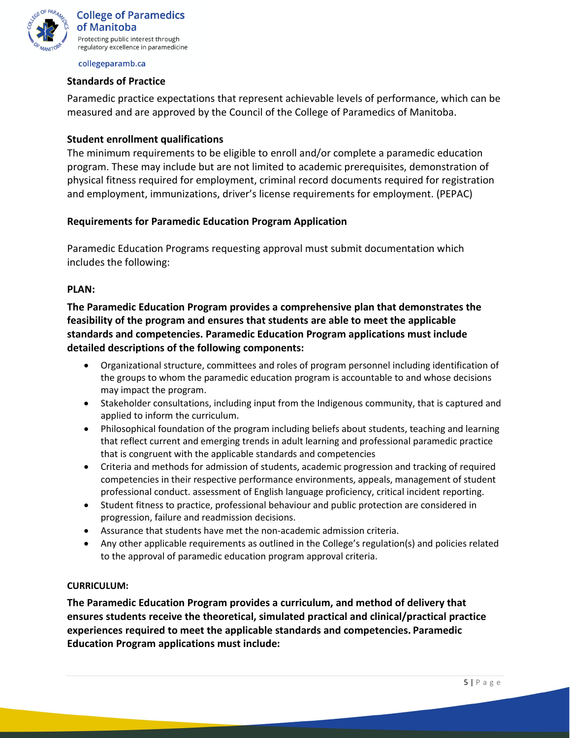

#### **Standards of Practice**

Paramedic practice expectations that represent achievable levels of performance, which can be measured and are approved by the Council of the College of Paramedics of Manitoba.

#### **Student enrollment qualifications**

The minimum requirements to be eligible to enroll and/or complete a paramedic education program. These may include but are not limited to academic prerequisites, demonstration of physical fitness required for employment, criminal record documents required for registration and employment, immunizations, driver's license requirements for employment. (PEPAC)

#### **Requirements for Paramedic Education Program Application**

Paramedic Education Programs requesting approval must submit documentation which includes the following:

#### **PLAN:**

**The Paramedic Education Program provides a comprehensive plan that demonstrates the feasibility of the program and ensures that students are able to meet the applicable standards and competencies. Paramedic Education Program applications must include detailed descriptions of the following components:**

- Organizational structure, committees and roles of program personnel including identification of the groups to whom the paramedic education program is accountable to and whose decisions may impact the program.
- Stakeholder consultations, including input from the Indigenous community, that is captured and applied to inform the curriculum.
- Philosophical foundation of the program including beliefs about students, teaching and learning that reflect current and emerging trends in adult learning and professional paramedic practice that is congruent with the applicable standards and competencies
- Criteria and methods for admission of students, academic progression and tracking of required competencies in their respective performance environments, appeals, management of student professional conduct. assessment of English language proficiency, critical incident reporting.
- Student fitness to practice, professional behaviour and public protection are considered in progression, failure and readmission decisions.
- Assurance that students have met the non-academic admission criteria.
- Any other applicable requirements as outlined in the College's regulation(s) and policies related to the approval of paramedic education program approval criteria.

#### **CURRICULUM:**

**The Paramedic Education Program provides a curriculum, and method of delivery that ensures students receive the theoretical, simulated practical and clinical/practical practice experiences required to meet the applicable standards and competencies. Paramedic Education Program applications must include:**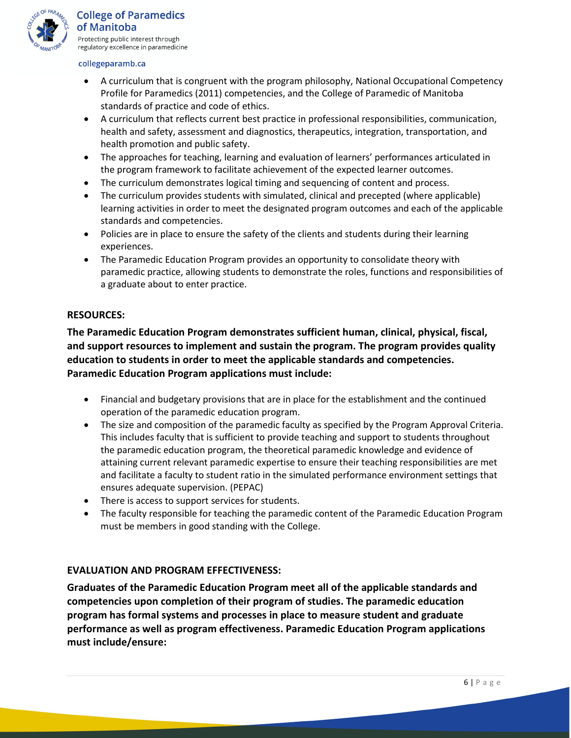

- A curriculum that is congruent with the program philosophy, National Occupational Competency Profile for Paramedics (2011) competencies, and the College of Paramedic of Manitoba standards of practice and code of ethics.
- A curriculum that reflects current best practice in professional responsibilities, communication, health and safety, assessment and diagnostics, therapeutics, integration, transportation, and health promotion and public safety.
- The approaches for teaching, learning and evaluation of learners' performances articulated in the program framework to facilitate achievement of the expected learner outcomes.
- The curriculum demonstrates logical timing and sequencing of content and process.
- The curriculum provides students with simulated, clinical and precepted (where applicable) learning activities in order to meet the designated program outcomes and each of the applicable standards and competencies.
- Policies are in place to ensure the safety of the clients and students during their learning experiences.
- The Paramedic Education Program provides an opportunity to consolidate theory with paramedic practice, allowing students to demonstrate the roles, functions and responsibilities of a graduate about to enter practice.

#### **RESOURCES:**

**The Paramedic Education Program demonstrates sufficient human, clinical, physical, fiscal, and support resources to implement and sustain the program. The program provides quality education to students in order to meet the applicable standards and competencies. Paramedic Education Program applications must include:**

- Financial and budgetary provisions that are in place for the establishment and the continued operation of the paramedic education program.
- The size and composition of the paramedic faculty as specified by the Program Approval Criteria. This includes faculty that is sufficient to provide teaching and support to students throughout the paramedic education program, the theoretical paramedic knowledge and evidence of attaining current relevant paramedic expertise to ensure their teaching responsibilities are met and facilitate a faculty to student ratio in the simulated performance environment settings that ensures adequate supervision. (PEPAC)
- There is access to support services for students.
- The faculty responsible for teaching the paramedic content of the Paramedic Education Program must be members in good standing with the College.

## **EVALUATION AND PROGRAM EFFECTIVENESS:**

**Graduates of the Paramedic Education Program meet all of the applicable standards and competencies upon completion of their program of studies. The paramedic education program has formal systems and processes in place to measure student and graduate performance as well as program effectiveness. Paramedic Education Program applications must include/ensure:**